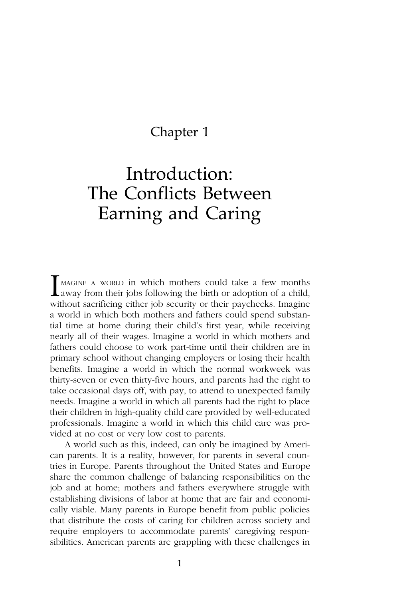# Chapter 1

# Introduction: The Conflicts Between Earning and Caring

MAGINE A WORLD in which mothers could take a few months<br>away from their jobs following the birth or adoption of a child, without sacrificing either job security or their paychecks. Imagine a world in which both mothers and fathers could spend substantial time at home during their child's first year, while receiving nearly all of their wages. Imagine a world in which mothers and fathers could choose to work part-time until their children are in primary school without changing employers or losing their health benefits. Imagine a world in which the normal workweek was thirty-seven or even thirty-five hours, and parents had the right to take occasional days off, with pay, to attend to unexpected family needs. Imagine a world in which all parents had the right to place their children in high-quality child care provided by well-educated professionals. Imagine a world in which this child care was provided at no cost or very low cost to parents.

A world such as this, indeed, can only be imagined by American parents. It is a reality, however, for parents in several countries in Europe. Parents throughout the United States and Europe share the common challenge of balancing responsibilities on the job and at home; mothers and fathers everywhere struggle with establishing divisions of labor at home that are fair and economically viable. Many parents in Europe benefit from public policies that distribute the costs of caring for children across society and require employers to accommodate parents' caregiving responsibilities. American parents are grappling with these challenges in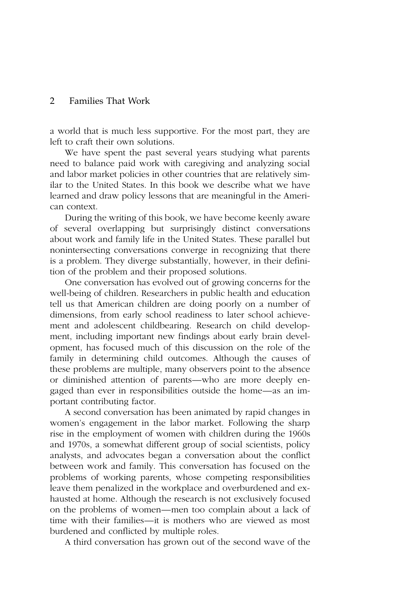a world that is much less supportive. For the most part, they are left to craft their own solutions.

We have spent the past several years studying what parents need to balance paid work with caregiving and analyzing social and labor market policies in other countries that are relatively similar to the United States. In this book we describe what we have learned and draw policy lessons that are meaningful in the American context.

During the writing of this book, we have become keenly aware of several overlapping but surprisingly distinct conversations about work and family life in the United States. These parallel but nonintersecting conversations converge in recognizing that there is a problem. They diverge substantially, however, in their definition of the problem and their proposed solutions.

One conversation has evolved out of growing concerns for the well-being of children. Researchers in public health and education tell us that American children are doing poorly on a number of dimensions, from early school readiness to later school achievement and adolescent childbearing. Research on child development, including important new findings about early brain development, has focused much of this discussion on the role of the family in determining child outcomes. Although the causes of these problems are multiple, many observers point to the absence or diminished attention of parents—who are more deeply engaged than ever in responsibilities outside the home—as an important contributing factor.

A second conversation has been animated by rapid changes in women's engagement in the labor market. Following the sharp rise in the employment of women with children during the 1960s and 1970s, a somewhat different group of social scientists, policy analysts, and advocates began a conversation about the conflict between work and family. This conversation has focused on the problems of working parents, whose competing responsibilities leave them penalized in the workplace and overburdened and exhausted at home. Although the research is not exclusively focused on the problems of women—men too complain about a lack of time with their families—it is mothers who are viewed as most burdened and conflicted by multiple roles.

A third conversation has grown out of the second wave of the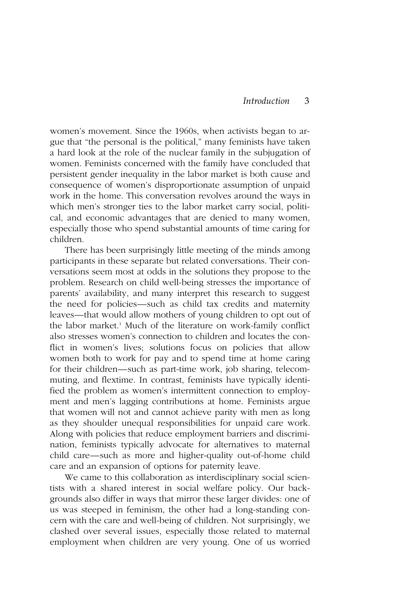women's movement. Since the 1960s, when activists began to argue that "the personal is the political," many feminists have taken a hard look at the role of the nuclear family in the subjugation of women. Feminists concerned with the family have concluded that persistent gender inequality in the labor market is both cause and consequence of women's disproportionate assumption of unpaid work in the home. This conversation revolves around the ways in which men's stronger ties to the labor market carry social, political, and economic advantages that are denied to many women, especially those who spend substantial amounts of time caring for children.

There has been surprisingly little meeting of the minds among participants in these separate but related conversations. Their conversations seem most at odds in the solutions they propose to the problem. Research on child well-being stresses the importance of parents' availability, and many interpret this research to suggest the need for policies—such as child tax credits and maternity leaves—that would allow mothers of young children to opt out of the labor market.<sup>1</sup> Much of the literature on work-family conflict also stresses women's connection to children and locates the conflict in women's lives; solutions focus on policies that allow women both to work for pay and to spend time at home caring for their children—such as part-time work, job sharing, telecommuting, and flextime. In contrast, feminists have typically identified the problem as women's intermittent connection to employment and men's lagging contributions at home. Feminists argue that women will not and cannot achieve parity with men as long as they shoulder unequal responsibilities for unpaid care work. Along with policies that reduce employment barriers and discrimination, feminists typically advocate for alternatives to maternal child care—such as more and higher-quality out-of-home child care and an expansion of options for paternity leave.

We came to this collaboration as interdisciplinary social scientists with a shared interest in social welfare policy. Our backgrounds also differ in ways that mirror these larger divides: one of us was steeped in feminism, the other had a long-standing concern with the care and well-being of children. Not surprisingly, we clashed over several issues, especially those related to maternal employment when children are very young. One of us worried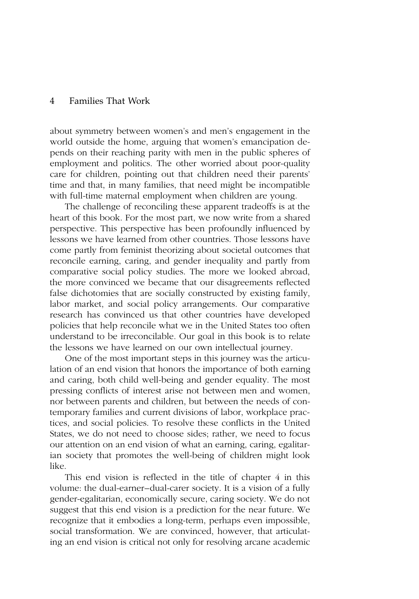about symmetry between women's and men's engagement in the world outside the home, arguing that women's emancipation depends on their reaching parity with men in the public spheres of employment and politics. The other worried about poor-quality care for children, pointing out that children need their parents' time and that, in many families, that need might be incompatible with full-time maternal employment when children are young.

The challenge of reconciling these apparent tradeoffs is at the heart of this book. For the most part, we now write from a shared perspective. This perspective has been profoundly influenced by lessons we have learned from other countries. Those lessons have come partly from feminist theorizing about societal outcomes that reconcile earning, caring, and gender inequality and partly from comparative social policy studies. The more we looked abroad, the more convinced we became that our disagreements reflected false dichotomies that are socially constructed by existing family, labor market, and social policy arrangements. Our comparative research has convinced us that other countries have developed policies that help reconcile what we in the United States too often understand to be irreconcilable. Our goal in this book is to relate the lessons we have learned on our own intellectual journey.

One of the most important steps in this journey was the articulation of an end vision that honors the importance of both earning and caring, both child well-being and gender equality. The most pressing conflicts of interest arise not between men and women, nor between parents and children, but between the needs of contemporary families and current divisions of labor, workplace practices, and social policies. To resolve these conflicts in the United States, we do not need to choose sides; rather, we need to focus our attention on an end vision of what an earning, caring, egalitarian society that promotes the well-being of children might look like.

This end vision is reflected in the title of chapter 4 in this volume: the dual-earner–dual-carer society. It is a vision of a fully gender-egalitarian, economically secure, caring society. We do not suggest that this end vision is a prediction for the near future. We recognize that it embodies a long-term, perhaps even impossible, social transformation. We are convinced, however, that articulating an end vision is critical not only for resolving arcane academic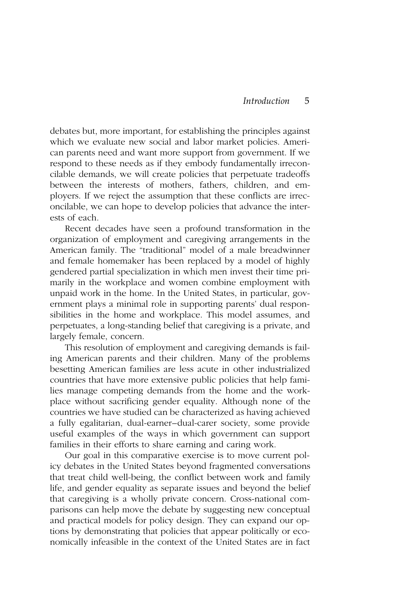debates but, more important, for establishing the principles against which we evaluate new social and labor market policies. American parents need and want more support from government. If we respond to these needs as if they embody fundamentally irreconcilable demands, we will create policies that perpetuate tradeoffs between the interests of mothers, fathers, children, and employers. If we reject the assumption that these conflicts are irreconcilable, we can hope to develop policies that advance the interests of each.

Recent decades have seen a profound transformation in the organization of employment and caregiving arrangements in the American family. The "traditional" model of a male breadwinner and female homemaker has been replaced by a model of highly gendered partial specialization in which men invest their time primarily in the workplace and women combine employment with unpaid work in the home. In the United States, in particular, government plays a minimal role in supporting parents' dual responsibilities in the home and workplace. This model assumes, and perpetuates, a long-standing belief that caregiving is a private, and largely female, concern.

This resolution of employment and caregiving demands is failing American parents and their children. Many of the problems besetting American families are less acute in other industrialized countries that have more extensive public policies that help families manage competing demands from the home and the workplace without sacrificing gender equality. Although none of the countries we have studied can be characterized as having achieved a fully egalitarian, dual-earner–dual-carer society, some provide useful examples of the ways in which government can support families in their efforts to share earning and caring work.

Our goal in this comparative exercise is to move current policy debates in the United States beyond fragmented conversations that treat child well-being, the conflict between work and family life, and gender equality as separate issues and beyond the belief that caregiving is a wholly private concern. Cross-national comparisons can help move the debate by suggesting new conceptual and practical models for policy design. They can expand our options by demonstrating that policies that appear politically or economically infeasible in the context of the United States are in fact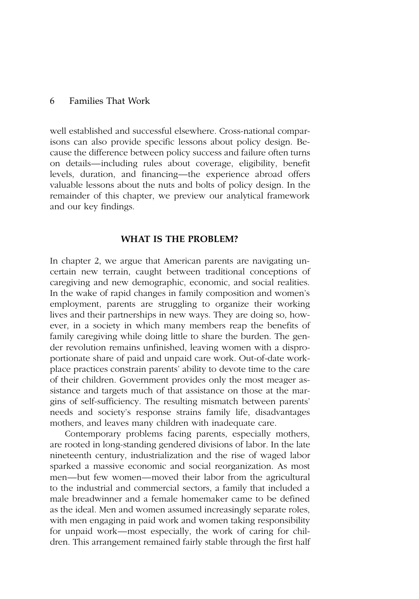well established and successful elsewhere. Cross-national comparisons can also provide specific lessons about policy design. Because the difference between policy success and failure often turns on details—including rules about coverage, eligibility, benefit levels, duration, and financing—the experience abroad offers valuable lessons about the nuts and bolts of policy design. In the remainder of this chapter, we preview our analytical framework and our key findings.

#### **WHAT IS THE PROBLEM?**

In chapter 2, we argue that American parents are navigating uncertain new terrain, caught between traditional conceptions of caregiving and new demographic, economic, and social realities. In the wake of rapid changes in family composition and women's employment, parents are struggling to organize their working lives and their partnerships in new ways. They are doing so, however, in a society in which many members reap the benefits of family caregiving while doing little to share the burden. The gender revolution remains unfinished, leaving women with a disproportionate share of paid and unpaid care work. Out-of-date workplace practices constrain parents' ability to devote time to the care of their children. Government provides only the most meager assistance and targets much of that assistance on those at the margins of self-sufficiency. The resulting mismatch between parents' needs and society's response strains family life, disadvantages mothers, and leaves many children with inadequate care.

Contemporary problems facing parents, especially mothers, are rooted in long-standing gendered divisions of labor. In the late nineteenth century, industrialization and the rise of waged labor sparked a massive economic and social reorganization. As most men—but few women—moved their labor from the agricultural to the industrial and commercial sectors, a family that included a male breadwinner and a female homemaker came to be defined as the ideal. Men and women assumed increasingly separate roles, with men engaging in paid work and women taking responsibility for unpaid work—most especially, the work of caring for children. This arrangement remained fairly stable through the first half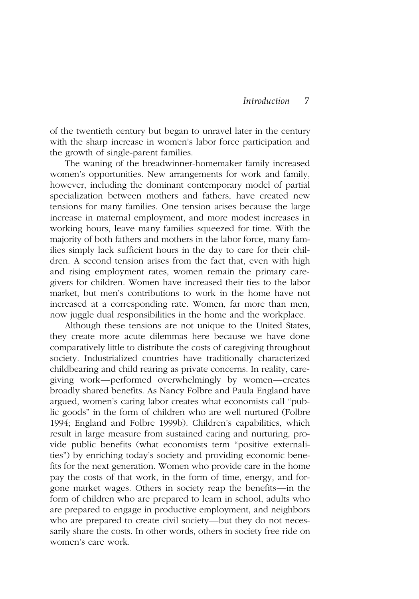of the twentieth century but began to unravel later in the century with the sharp increase in women's labor force participation and the growth of single-parent families.

The waning of the breadwinner-homemaker family increased women's opportunities. New arrangements for work and family, however, including the dominant contemporary model of partial specialization between mothers and fathers, have created new tensions for many families. One tension arises because the large increase in maternal employment, and more modest increases in working hours, leave many families squeezed for time. With the majority of both fathers and mothers in the labor force, many families simply lack sufficient hours in the day to care for their children. A second tension arises from the fact that, even with high and rising employment rates, women remain the primary caregivers for children. Women have increased their ties to the labor market, but men's contributions to work in the home have not increased at a corresponding rate. Women, far more than men, now juggle dual responsibilities in the home and the workplace.

Although these tensions are not unique to the United States, they create more acute dilemmas here because we have done comparatively little to distribute the costs of caregiving throughout society. Industrialized countries have traditionally characterized childbearing and child rearing as private concerns. In reality, caregiving work—performed overwhelmingly by women—creates broadly shared benefits. As Nancy Folbre and Paula England have argued, women's caring labor creates what economists call "public goods" in the form of children who are well nurtured (Folbre 1994; England and Folbre 1999b). Children's capabilities, which result in large measure from sustained caring and nurturing, provide public benefits (what economists term "positive externalities") by enriching today's society and providing economic benefits for the next generation. Women who provide care in the home pay the costs of that work, in the form of time, energy, and forgone market wages. Others in society reap the benefits—in the form of children who are prepared to learn in school, adults who are prepared to engage in productive employment, and neighbors who are prepared to create civil society—but they do not necessarily share the costs. In other words, others in society free ride on women's care work.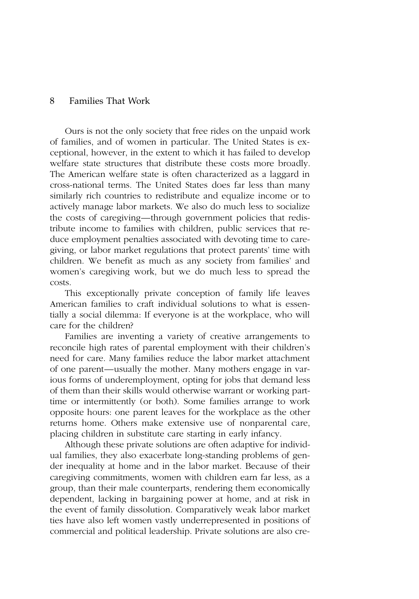Ours is not the only society that free rides on the unpaid work of families, and of women in particular. The United States is exceptional, however, in the extent to which it has failed to develop welfare state structures that distribute these costs more broadly. The American welfare state is often characterized as a laggard in cross-national terms. The United States does far less than many similarly rich countries to redistribute and equalize income or to actively manage labor markets. We also do much less to socialize the costs of caregiving—through government policies that redistribute income to families with children, public services that reduce employment penalties associated with devoting time to caregiving, or labor market regulations that protect parents' time with children. We benefit as much as any society from families' and women's caregiving work, but we do much less to spread the costs.

This exceptionally private conception of family life leaves American families to craft individual solutions to what is essentially a social dilemma: If everyone is at the workplace, who will care for the children?

Families are inventing a variety of creative arrangements to reconcile high rates of parental employment with their children's need for care. Many families reduce the labor market attachment of one parent—usually the mother. Many mothers engage in various forms of underemployment, opting for jobs that demand less of them than their skills would otherwise warrant or working parttime or intermittently (or both). Some families arrange to work opposite hours: one parent leaves for the workplace as the other returns home. Others make extensive use of nonparental care, placing children in substitute care starting in early infancy.

Although these private solutions are often adaptive for individual families, they also exacerbate long-standing problems of gender inequality at home and in the labor market. Because of their caregiving commitments, women with children earn far less, as a group, than their male counterparts, rendering them economically dependent, lacking in bargaining power at home, and at risk in the event of family dissolution. Comparatively weak labor market ties have also left women vastly underrepresented in positions of commercial and political leadership. Private solutions are also cre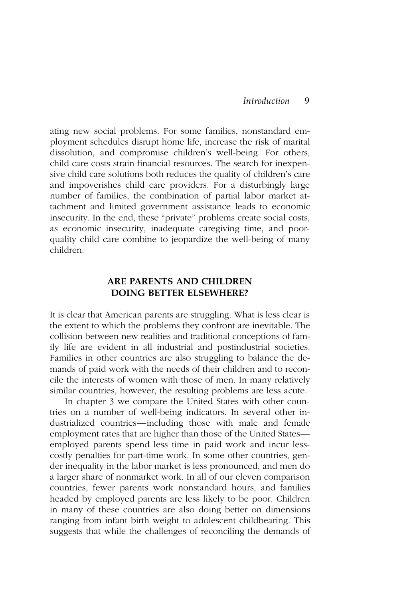ating new social problems. For some families, nonstandard employment schedules disrupt home life, increase the risk of marital dissolution, and compromise children's well-being. For others, child care costs strain financial resources. The search for inexpensive child care solutions both reduces the quality of children's care and impoverishes child care providers. For a disturbingly large number of families, the combination of partial labor market attachment and limited government assistance leads to economic insecurity. In the end, these "private" problems create social costs, as economic insecurity, inadequate caregiving time, and poorquality child care combine to jeopardize the well-being of many children.

# **ARE PARENTS AND CHILDREN DOING BETTER ELSEWHERE?**

It is clear that American parents are struggling. What is less clear is the extent to which the problems they confront are inevitable. The collision between new realities and traditional conceptions of family life are evident in all industrial and postindustrial societies. Families in other countries are also struggling to balance the demands of paid work with the needs of their children and to reconcile the interests of women with those of men. In many relatively similar countries, however, the resulting problems are less acute.

In chapter 3 we compare the United States with other countries on a number of well-being indicators. In several other industrialized countries—including those with male and female employment rates that are higher than those of the United States employed parents spend less time in paid work and incur lesscostly penalties for part-time work. In some other countries, gender inequality in the labor market is less pronounced, and men do a larger share of nonmarket work. In all of our eleven comparison countries, fewer parents work nonstandard hours, and families headed by employed parents are less likely to be poor. Children in many of these countries are also doing better on dimensions ranging from infant birth weight to adolescent childbearing. This suggests that while the challenges of reconciling the demands of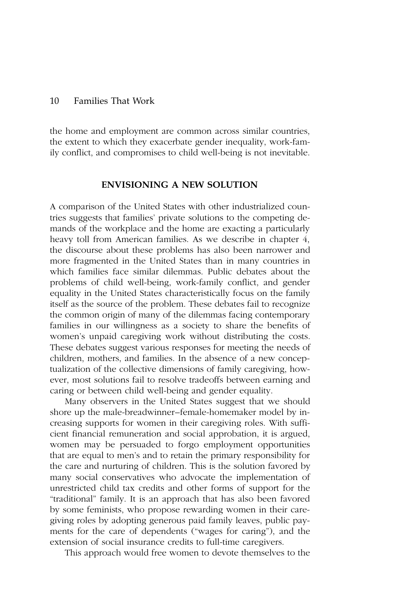the home and employment are common across similar countries, the extent to which they exacerbate gender inequality, work-family conflict, and compromises to child well-being is not inevitable.

### **ENVISIONING A NEW SOLUTION**

A comparison of the United States with other industrialized countries suggests that families' private solutions to the competing demands of the workplace and the home are exacting a particularly heavy toll from American families. As we describe in chapter 4, the discourse about these problems has also been narrower and more fragmented in the United States than in many countries in which families face similar dilemmas. Public debates about the problems of child well-being, work-family conflict, and gender equality in the United States characteristically focus on the family itself as the source of the problem. These debates fail to recognize the common origin of many of the dilemmas facing contemporary families in our willingness as a society to share the benefits of women's unpaid caregiving work without distributing the costs. These debates suggest various responses for meeting the needs of children, mothers, and families. In the absence of a new conceptualization of the collective dimensions of family caregiving, however, most solutions fail to resolve tradeoffs between earning and caring or between child well-being and gender equality.

Many observers in the United States suggest that we should shore up the male-breadwinner–female-homemaker model by increasing supports for women in their caregiving roles. With sufficient financial remuneration and social approbation, it is argued, women may be persuaded to forgo employment opportunities that are equal to men's and to retain the primary responsibility for the care and nurturing of children. This is the solution favored by many social conservatives who advocate the implementation of unrestricted child tax credits and other forms of support for the "traditional" family. It is an approach that has also been favored by some feminists, who propose rewarding women in their caregiving roles by adopting generous paid family leaves, public payments for the care of dependents ("wages for caring"), and the extension of social insurance credits to full-time caregivers.

This approach would free women to devote themselves to the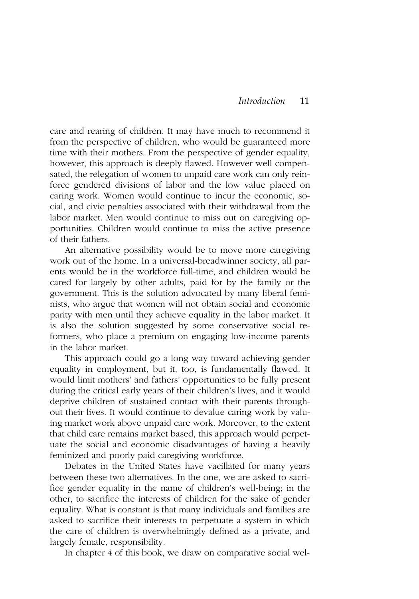care and rearing of children. It may have much to recommend it from the perspective of children, who would be guaranteed more time with their mothers. From the perspective of gender equality, however, this approach is deeply flawed. However well compensated, the relegation of women to unpaid care work can only reinforce gendered divisions of labor and the low value placed on caring work. Women would continue to incur the economic, social, and civic penalties associated with their withdrawal from the labor market. Men would continue to miss out on caregiving opportunities. Children would continue to miss the active presence of their fathers.

An alternative possibility would be to move more caregiving work out of the home. In a universal-breadwinner society, all parents would be in the workforce full-time, and children would be cared for largely by other adults, paid for by the family or the government. This is the solution advocated by many liberal feminists, who argue that women will not obtain social and economic parity with men until they achieve equality in the labor market. It is also the solution suggested by some conservative social reformers, who place a premium on engaging low-income parents in the labor market.

This approach could go a long way toward achieving gender equality in employment, but it, too, is fundamentally flawed. It would limit mothers' and fathers' opportunities to be fully present during the critical early years of their children's lives, and it would deprive children of sustained contact with their parents throughout their lives. It would continue to devalue caring work by valuing market work above unpaid care work. Moreover, to the extent that child care remains market based, this approach would perpetuate the social and economic disadvantages of having a heavily feminized and poorly paid caregiving workforce.

Debates in the United States have vacillated for many years between these two alternatives. In the one, we are asked to sacrifice gender equality in the name of children's well-being; in the other, to sacrifice the interests of children for the sake of gender equality. What is constant is that many individuals and families are asked to sacrifice their interests to perpetuate a system in which the care of children is overwhelmingly defined as a private, and largely female, responsibility.

In chapter 4 of this book, we draw on comparative social wel-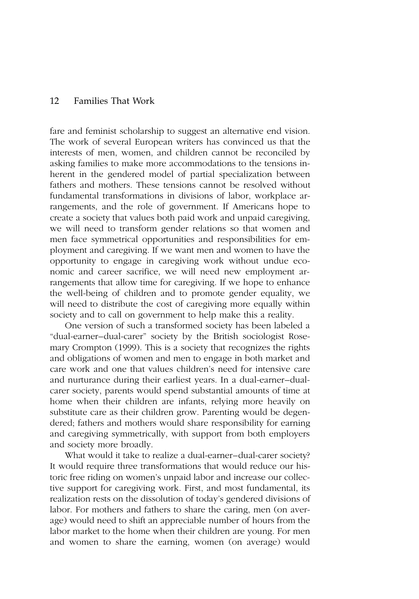fare and feminist scholarship to suggest an alternative end vision. The work of several European writers has convinced us that the interests of men, women, and children cannot be reconciled by asking families to make more accommodations to the tensions inherent in the gendered model of partial specialization between fathers and mothers. These tensions cannot be resolved without fundamental transformations in divisions of labor, workplace arrangements, and the role of government. If Americans hope to create a society that values both paid work and unpaid caregiving, we will need to transform gender relations so that women and men face symmetrical opportunities and responsibilities for employment and caregiving. If we want men and women to have the opportunity to engage in caregiving work without undue economic and career sacrifice, we will need new employment arrangements that allow time for caregiving. If we hope to enhance the well-being of children and to promote gender equality, we will need to distribute the cost of caregiving more equally within society and to call on government to help make this a reality.

One version of such a transformed society has been labeled a "dual-earner–dual-carer" society by the British sociologist Rosemary Crompton (1999). This is a society that recognizes the rights and obligations of women and men to engage in both market and care work and one that values children's need for intensive care and nurturance during their earliest years. In a dual-earner–dualcarer society, parents would spend substantial amounts of time at home when their children are infants, relying more heavily on substitute care as their children grow. Parenting would be degendered; fathers and mothers would share responsibility for earning and caregiving symmetrically, with support from both employers and society more broadly.

What would it take to realize a dual-earner–dual-carer society? It would require three transformations that would reduce our historic free riding on women's unpaid labor and increase our collective support for caregiving work. First, and most fundamental, its realization rests on the dissolution of today's gendered divisions of labor. For mothers and fathers to share the caring, men (on average) would need to shift an appreciable number of hours from the labor market to the home when their children are young. For men and women to share the earning, women (on average) would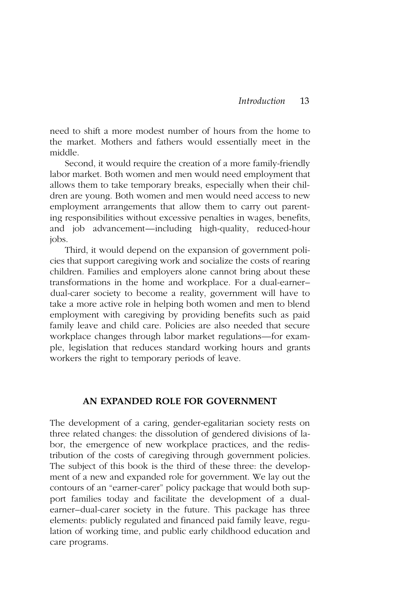need to shift a more modest number of hours from the home to the market. Mothers and fathers would essentially meet in the middle.

Second, it would require the creation of a more family-friendly labor market. Both women and men would need employment that allows them to take temporary breaks, especially when their children are young. Both women and men would need access to new employment arrangements that allow them to carry out parenting responsibilities without excessive penalties in wages, benefits, and job advancement—including high-quality, reduced-hour jobs.

Third, it would depend on the expansion of government policies that support caregiving work and socialize the costs of rearing children. Families and employers alone cannot bring about these transformations in the home and workplace. For a dual-earner– dual-carer society to become a reality, government will have to take a more active role in helping both women and men to blend employment with caregiving by providing benefits such as paid family leave and child care. Policies are also needed that secure workplace changes through labor market regulations—for example, legislation that reduces standard working hours and grants workers the right to temporary periods of leave.

#### **AN EXPANDED ROLE FOR GOVERNMENT**

The development of a caring, gender-egalitarian society rests on three related changes: the dissolution of gendered divisions of labor, the emergence of new workplace practices, and the redistribution of the costs of caregiving through government policies. The subject of this book is the third of these three: the development of a new and expanded role for government. We lay out the contours of an "earner-carer" policy package that would both support families today and facilitate the development of a dualearner–dual-carer society in the future. This package has three elements: publicly regulated and financed paid family leave, regulation of working time, and public early childhood education and care programs.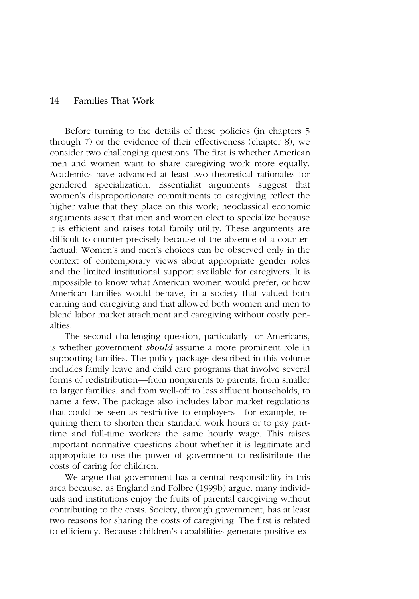Before turning to the details of these policies (in chapters 5 through 7) or the evidence of their effectiveness (chapter 8), we consider two challenging questions. The first is whether American men and women want to share caregiving work more equally. Academics have advanced at least two theoretical rationales for gendered specialization. Essentialist arguments suggest that women's disproportionate commitments to caregiving reflect the higher value that they place on this work; neoclassical economic arguments assert that men and women elect to specialize because it is efficient and raises total family utility. These arguments are difficult to counter precisely because of the absence of a counterfactual: Women's and men's choices can be observed only in the context of contemporary views about appropriate gender roles and the limited institutional support available for caregivers. It is impossible to know what American women would prefer, or how American families would behave, in a society that valued both earning and caregiving and that allowed both women and men to blend labor market attachment and caregiving without costly penalties.

The second challenging question, particularly for Americans, is whether government *should* assume a more prominent role in supporting families. The policy package described in this volume includes family leave and child care programs that involve several forms of redistribution—from nonparents to parents, from smaller to larger families, and from well-off to less affluent households, to name a few. The package also includes labor market regulations that could be seen as restrictive to employers—for example, requiring them to shorten their standard work hours or to pay parttime and full-time workers the same hourly wage. This raises important normative questions about whether it is legitimate and appropriate to use the power of government to redistribute the costs of caring for children.

We argue that government has a central responsibility in this area because, as England and Folbre (1999b) argue, many individuals and institutions enjoy the fruits of parental caregiving without contributing to the costs. Society, through government, has at least two reasons for sharing the costs of caregiving. The first is related to efficiency. Because children's capabilities generate positive ex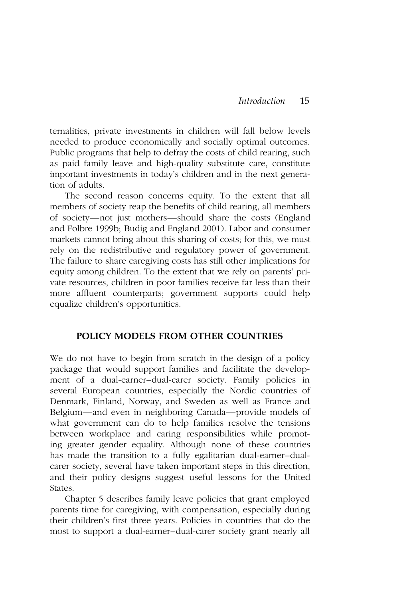ternalities, private investments in children will fall below levels needed to produce economically and socially optimal outcomes. Public programs that help to defray the costs of child rearing, such as paid family leave and high-quality substitute care, constitute important investments in today's children and in the next generation of adults.

The second reason concerns equity. To the extent that all members of society reap the benefits of child rearing, all members of society—not just mothers—should share the costs (England and Folbre 1999b; Budig and England 2001). Labor and consumer markets cannot bring about this sharing of costs; for this, we must rely on the redistributive and regulatory power of government. The failure to share caregiving costs has still other implications for equity among children. To the extent that we rely on parents' private resources, children in poor families receive far less than their more affluent counterparts; government supports could help equalize children's opportunities.

#### **POLICY MODELS FROM OTHER COUNTRIES**

We do not have to begin from scratch in the design of a policy package that would support families and facilitate the development of a dual-earner–dual-carer society. Family policies in several European countries, especially the Nordic countries of Denmark, Finland, Norway, and Sweden as well as France and Belgium—and even in neighboring Canada—provide models of what government can do to help families resolve the tensions between workplace and caring responsibilities while promoting greater gender equality. Although none of these countries has made the transition to a fully egalitarian dual-earner-dualcarer society, several have taken important steps in this direction, and their policy designs suggest useful lessons for the United States.

Chapter 5 describes family leave policies that grant employed parents time for caregiving, with compensation, especially during their children's first three years. Policies in countries that do the most to support a dual-earner–dual-carer society grant nearly all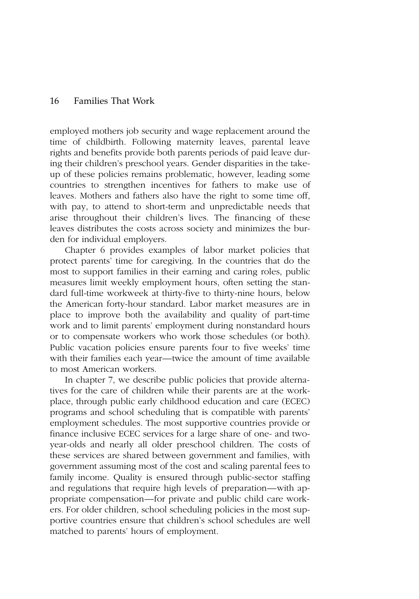employed mothers job security and wage replacement around the time of childbirth. Following maternity leaves, parental leave rights and benefits provide both parents periods of paid leave during their children's preschool years. Gender disparities in the takeup of these policies remains problematic, however, leading some countries to strengthen incentives for fathers to make use of leaves. Mothers and fathers also have the right to some time off, with pay, to attend to short-term and unpredictable needs that arise throughout their children's lives. The financing of these leaves distributes the costs across society and minimizes the burden for individual employers.

Chapter 6 provides examples of labor market policies that protect parents' time for caregiving. In the countries that do the most to support families in their earning and caring roles, public measures limit weekly employment hours, often setting the standard full-time workweek at thirty-five to thirty-nine hours, below the American forty-hour standard. Labor market measures are in place to improve both the availability and quality of part-time work and to limit parents' employment during nonstandard hours or to compensate workers who work those schedules (or both). Public vacation policies ensure parents four to five weeks' time with their families each year—twice the amount of time available to most American workers.

In chapter 7, we describe public policies that provide alternatives for the care of children while their parents are at the workplace, through public early childhood education and care (ECEC) programs and school scheduling that is compatible with parents' employment schedules. The most supportive countries provide or finance inclusive ECEC services for a large share of one- and twoyear-olds and nearly all older preschool children. The costs of these services are shared between government and families, with government assuming most of the cost and scaling parental fees to family income. Quality is ensured through public-sector staffing and regulations that require high levels of preparation—with appropriate compensation—for private and public child care workers. For older children, school scheduling policies in the most supportive countries ensure that children's school schedules are well matched to parents' hours of employment.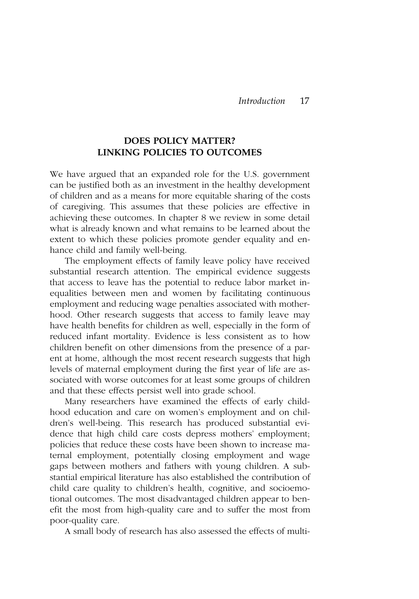# **DOES POLICY MATTER? LINKING POLICIES TO OUTCOMES**

We have argued that an expanded role for the U.S. government can be justified both as an investment in the healthy development of children and as a means for more equitable sharing of the costs of caregiving. This assumes that these policies are effective in achieving these outcomes. In chapter 8 we review in some detail what is already known and what remains to be learned about the extent to which these policies promote gender equality and enhance child and family well-being.

The employment effects of family leave policy have received substantial research attention. The empirical evidence suggests that access to leave has the potential to reduce labor market inequalities between men and women by facilitating continuous employment and reducing wage penalties associated with motherhood. Other research suggests that access to family leave may have health benefits for children as well, especially in the form of reduced infant mortality. Evidence is less consistent as to how children benefit on other dimensions from the presence of a parent at home, although the most recent research suggests that high levels of maternal employment during the first year of life are associated with worse outcomes for at least some groups of children and that these effects persist well into grade school.

Many researchers have examined the effects of early childhood education and care on women's employment and on children's well-being. This research has produced substantial evidence that high child care costs depress mothers' employment; policies that reduce these costs have been shown to increase maternal employment, potentially closing employment and wage gaps between mothers and fathers with young children. A substantial empirical literature has also established the contribution of child care quality to children's health, cognitive, and socioemotional outcomes. The most disadvantaged children appear to benefit the most from high-quality care and to suffer the most from poor-quality care.

A small body of research has also assessed the effects of multi-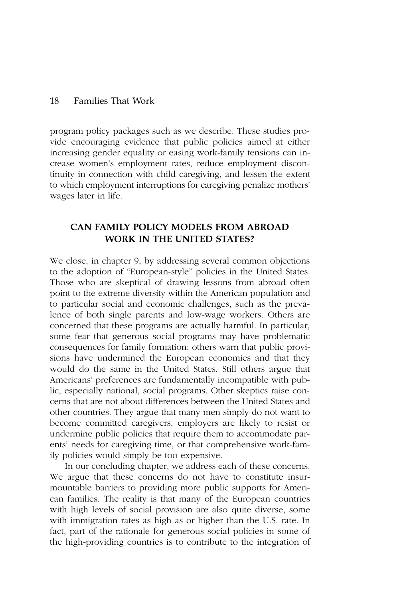program policy packages such as we describe. These studies provide encouraging evidence that public policies aimed at either increasing gender equality or easing work-family tensions can increase women's employment rates, reduce employment discontinuity in connection with child caregiving, and lessen the extent to which employment interruptions for caregiving penalize mothers' wages later in life.

# **CAN FAMILY POLICY MODELS FROM ABROAD WORK IN THE UNITED STATES?**

We close, in chapter 9, by addressing several common objections to the adoption of "European-style" policies in the United States. Those who are skeptical of drawing lessons from abroad often point to the extreme diversity within the American population and to particular social and economic challenges, such as the prevalence of both single parents and low-wage workers. Others are concerned that these programs are actually harmful. In particular, some fear that generous social programs may have problematic consequences for family formation; others warn that public provisions have undermined the European economies and that they would do the same in the United States. Still others argue that Americans' preferences are fundamentally incompatible with public, especially national, social programs. Other skeptics raise concerns that are not about differences between the United States and other countries. They argue that many men simply do not want to become committed caregivers, employers are likely to resist or undermine public policies that require them to accommodate parents' needs for caregiving time, or that comprehensive work-family policies would simply be too expensive.

In our concluding chapter, we address each of these concerns. We argue that these concerns do not have to constitute insurmountable barriers to providing more public supports for American families. The reality is that many of the European countries with high levels of social provision are also quite diverse, some with immigration rates as high as or higher than the U.S. rate. In fact, part of the rationale for generous social policies in some of the high-providing countries is to contribute to the integration of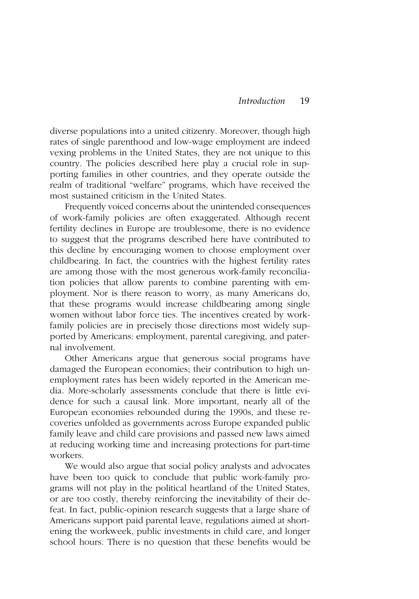diverse populations into a united citizenry. Moreover, though high rates of single parenthood and low-wage employment are indeed vexing problems in the United States, they are not unique to this country. The policies described here play a crucial role in supporting families in other countries, and they operate outside the realm of traditional "welfare" programs, which have received the most sustained criticism in the United States.

Frequently voiced concerns about the unintended consequences of work-family policies are often exaggerated. Although recent fertility declines in Europe are troublesome, there is no evidence to suggest that the programs described here have contributed to this decline by encouraging women to choose employment over childbearing. In fact, the countries with the highest fertility rates are among those with the most generous work-family reconciliation policies that allow parents to combine parenting with employment. Nor is there reason to worry, as many Americans do, that these programs would increase childbearing among single women without labor force ties. The incentives created by workfamily policies are in precisely those directions most widely supported by Americans: employment, parental caregiving, and paternal involvement.

Other Americans argue that generous social programs have damaged the European economies; their contribution to high unemployment rates has been widely reported in the American media. More-scholarly assessments conclude that there is little evidence for such a causal link. More important, nearly all of the European economies rebounded during the 1990s, and these recoveries unfolded as governments across Europe expanded public family leave and child care provisions and passed new laws aimed at reducing working time and increasing protections for part-time workers.

We would also argue that social policy analysts and advocates have been too quick to conclude that public work-family programs will not play in the political heartland of the United States, or are too costly, thereby reinforcing the inevitability of their defeat. In fact, public-opinion research suggests that a large share of Americans support paid parental leave, regulations aimed at shortening the workweek, public investments in child care, and longer school hours. There is no question that these benefits would be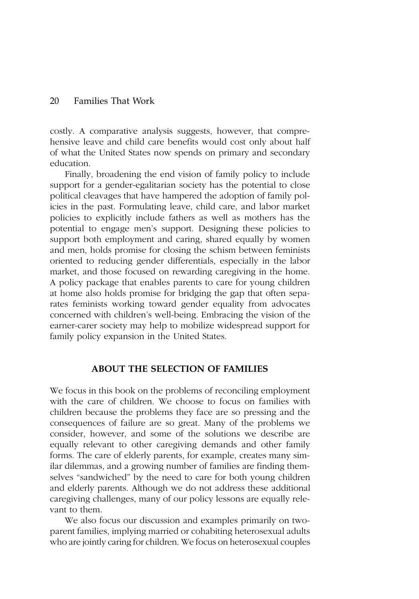costly. A comparative analysis suggests, however, that comprehensive leave and child care benefits would cost only about half of what the United States now spends on primary and secondary education.

Finally, broadening the end vision of family policy to include support for a gender-egalitarian society has the potential to close political cleavages that have hampered the adoption of family policies in the past. Formulating leave, child care, and labor market policies to explicitly include fathers as well as mothers has the potential to engage men's support. Designing these policies to support both employment and caring, shared equally by women and men, holds promise for closing the schism between feminists oriented to reducing gender differentials, especially in the labor market, and those focused on rewarding caregiving in the home. A policy package that enables parents to care for young children at home also holds promise for bridging the gap that often separates feminists working toward gender equality from advocates concerned with children's well-being. Embracing the vision of the earner-carer society may help to mobilize widespread support for family policy expansion in the United States.

#### **ABOUT THE SELECTION OF FAMILIES**

We focus in this book on the problems of reconciling employment with the care of children. We choose to focus on families with children because the problems they face are so pressing and the consequences of failure are so great. Many of the problems we consider, however, and some of the solutions we describe are equally relevant to other caregiving demands and other family forms. The care of elderly parents, for example, creates many similar dilemmas, and a growing number of families are finding themselves "sandwiched" by the need to care for both young children and elderly parents. Although we do not address these additional caregiving challenges, many of our policy lessons are equally relevant to them.

We also focus our discussion and examples primarily on twoparent families, implying married or cohabiting heterosexual adults who are jointly caring for children. We focus on heterosexual couples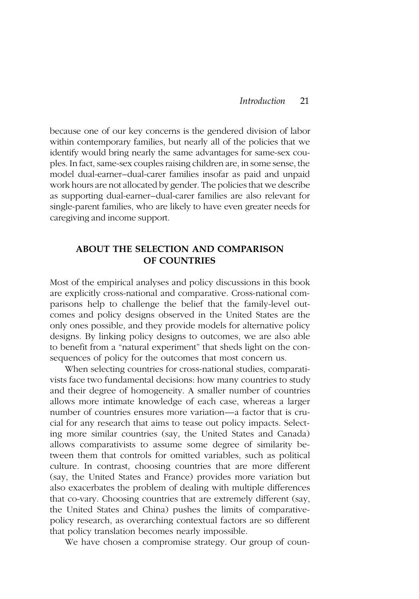because one of our key concerns is the gendered division of labor within contemporary families, but nearly all of the policies that we identify would bring nearly the same advantages for same-sex couples. In fact, same-sex couples raising children are, in some sense, the model dual-earner–dual-carer families insofar as paid and unpaid work hours are not allocated by gender. The policies that we describe as supporting dual-earner–dual-carer families are also relevant for single-parent families, who are likely to have even greater needs for caregiving and income support.

# **ABOUT THE SELECTION AND COMPARISON OF COUNTRIES**

Most of the empirical analyses and policy discussions in this book are explicitly cross-national and comparative. Cross-national comparisons help to challenge the belief that the family-level outcomes and policy designs observed in the United States are the only ones possible, and they provide models for alternative policy designs. By linking policy designs to outcomes, we are also able to benefit from a "natural experiment" that sheds light on the consequences of policy for the outcomes that most concern us.

When selecting countries for cross-national studies, comparativists face two fundamental decisions: how many countries to study and their degree of homogeneity. A smaller number of countries allows more intimate knowledge of each case, whereas a larger number of countries ensures more variation—a factor that is crucial for any research that aims to tease out policy impacts. Selecting more similar countries (say, the United States and Canada) allows comparativists to assume some degree of similarity between them that controls for omitted variables, such as political culture. In contrast, choosing countries that are more different (say, the United States and France) provides more variation but also exacerbates the problem of dealing with multiple differences that co-vary. Choosing countries that are extremely different (say, the United States and China) pushes the limits of comparativepolicy research, as overarching contextual factors are so different that policy translation becomes nearly impossible.

We have chosen a compromise strategy. Our group of coun-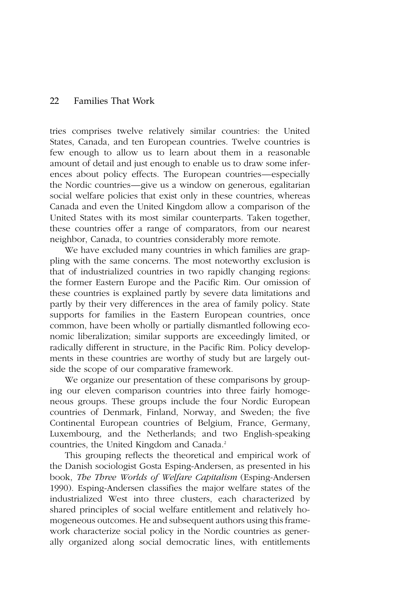tries comprises twelve relatively similar countries: the United States, Canada, and ten European countries. Twelve countries is few enough to allow us to learn about them in a reasonable amount of detail and just enough to enable us to draw some inferences about policy effects. The European countries—especially the Nordic countries—give us a window on generous, egalitarian social welfare policies that exist only in these countries, whereas Canada and even the United Kingdom allow a comparison of the United States with its most similar counterparts. Taken together, these countries offer a range of comparators, from our nearest neighbor, Canada, to countries considerably more remote.

We have excluded many countries in which families are grappling with the same concerns. The most noteworthy exclusion is that of industrialized countries in two rapidly changing regions: the former Eastern Europe and the Pacific Rim. Our omission of these countries is explained partly by severe data limitations and partly by their very differences in the area of family policy. State supports for families in the Eastern European countries, once common, have been wholly or partially dismantled following economic liberalization; similar supports are exceedingly limited, or radically different in structure, in the Pacific Rim. Policy developments in these countries are worthy of study but are largely outside the scope of our comparative framework.

We organize our presentation of these comparisons by grouping our eleven comparison countries into three fairly homogeneous groups. These groups include the four Nordic European countries of Denmark, Finland, Norway, and Sweden; the five Continental European countries of Belgium, France, Germany, Luxembourg, and the Netherlands; and two English-speaking countries, the United Kingdom and Canada.<sup>2</sup>

This grouping reflects the theoretical and empirical work of the Danish sociologist Gosta Esping-Andersen, as presented in his book, *The Three Worlds of Welfare Capitalism* (Esping-Andersen 1990). Esping-Andersen classifies the major welfare states of the industrialized West into three clusters, each characterized by shared principles of social welfare entitlement and relatively homogeneous outcomes. He and subsequent authors using this framework characterize social policy in the Nordic countries as generally organized along social democratic lines, with entitlements